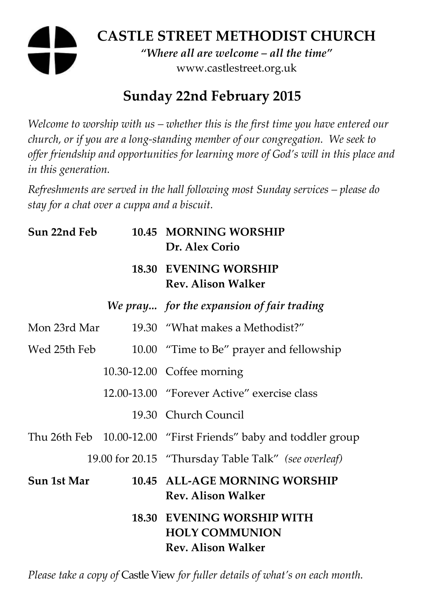# **CASTLE STREET METHODIST CHURCH**  *"Where all are welcome – all the time"*  www.castlestreet.org.uk

## **Sunday 22nd February 2015**

*Welcome to worship with us – whether this is the first time you have entered our church, or if you are a long-standing member of our congregation. We seek to offer friendship and opportunities for learning more of God's will in this place and in this generation.* 

*Refreshments are served in the hall following most Sunday services – please do stay for a chat over a cuppa and a biscuit.* 

| Sun 22nd Feb | 10.45 MORNING WORSHIP<br>Dr. Alex Corio                                          |
|--------------|----------------------------------------------------------------------------------|
|              | <b>18.30 EVENING WORSHIP</b><br><b>Rev. Alison Walker</b>                        |
|              | We pray for the expansion of fair trading                                        |
| Mon 23rd Mar | 19.30 "What makes a Methodist?"                                                  |
| Wed 25th Feb | 10.00 "Time to Be" prayer and fellowship                                         |
|              | 10.30-12.00 Coffee morning                                                       |
|              | 12.00-13.00 "Forever Active" exercise class                                      |
|              | 19.30 Church Council                                                             |
|              | Thu 26th Feb 10.00-12.00 "First Friends" baby and toddler group                  |
|              | 19.00 for 20.15 "Thursday Table Talk" (see overleaf)                             |
| Sun 1st Mar  | 10.45 ALL-AGE MORNING WORSHIP<br>Rev. Alison Walker                              |
|              | 18.30 EVENING WORSHIP WITH<br><b>HOLY COMMUNION</b><br><b>Rev. Alison Walker</b> |

*Please take a copy of* Castle View *for fuller details of what's on each month.*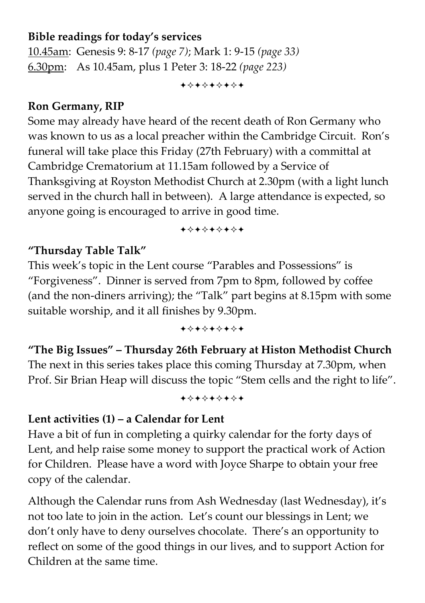### **Bible readings for today's services**

10.45am: Genesis 9: 8-17 *(page 7)*; Mark 1: 9-15 *(page 33)* 6.30pm: As 10.45am, plus 1 Peter 3: 18-22 *(page 223)*

+\*\*\*\*\*\*\*

#### **Ron Germany, RIP**

Some may already have heard of the recent death of Ron Germany who was known to us as a local preacher within the Cambridge Circuit. Ron's funeral will take place this Friday (27th February) with a committal at Cambridge Crematorium at 11.15am followed by a Service of Thanksgiving at Royston Methodist Church at 2.30pm (with a light lunch served in the church hall in between). A large attendance is expected, so anyone going is encouraged to arrive in good time.

+\*\*\*\*\*\*\*

#### **"Thursday Table Talk"**

This week's topic in the Lent course "Parables and Possessions" is "Forgiveness". Dinner is served from 7pm to 8pm, followed by coffee (and the non-diners arriving); the "Talk" part begins at 8.15pm with some suitable worship, and it all finishes by 9.30pm.

+\*\*\*\*\*\*\*

**"The Big Issues" – Thursday 26th February at Histon Methodist Church**  The next in this series takes place this coming Thursday at 7.30pm, when Prof. Sir Brian Heap will discuss the topic "Stem cells and the right to life".

+\*\*\*\*\*\*\*

### **Lent activities (1) – a Calendar for Lent**

Have a bit of fun in completing a quirky calendar for the forty days of Lent, and help raise some money to support the practical work of Action for Children. Please have a word with Joyce Sharpe to obtain your free copy of the calendar.

Although the Calendar runs from Ash Wednesday (last Wednesday), it's not too late to join in the action. Let's count our blessings in Lent; we don't only have to deny ourselves chocolate. There's an opportunity to reflect on some of the good things in our lives, and to support Action for Children at the same time.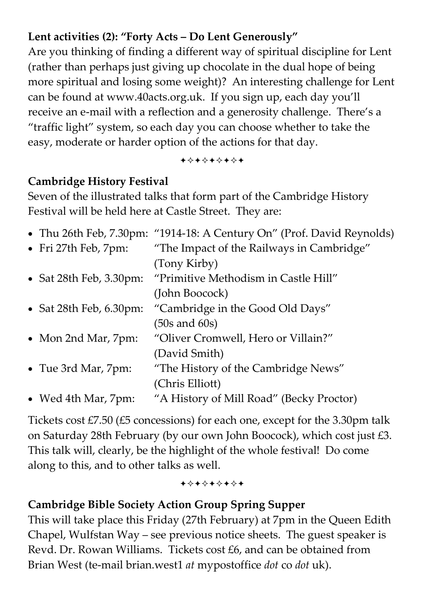### **Lent activities (2): "Forty Acts – Do Lent Generously"**

Are you thinking of finding a different way of spiritual discipline for Lent (rather than perhaps just giving up chocolate in the dual hope of being more spiritual and losing some weight)? An interesting challenge for Lent can be found at www.40acts.org.uk. If you sign up, each day you'll receive an e-mail with a reflection and a generosity challenge. There's a "traffic light" system, so each day you can choose whether to take the easy, moderate or harder option of the actions for that day.

+\*\*\*\*\*\*\*

## **Cambridge History Festival**

Seven of the illustrated talks that form part of the Cambridge History Festival will be held here at Castle Street. They are:

|                                    | • Thu 26th Feb, 7.30pm: "1914-18: A Century On" (Prof. David Reynolds) |
|------------------------------------|------------------------------------------------------------------------|
| • Fri 27th Feb, 7pm:               | "The Impact of the Railways in Cambridge"                              |
|                                    | (Tony Kirby)                                                           |
| • Sat 28th Feb, $3.30 \text{pm}$ : | "Primitive Methodism in Castle Hill"                                   |
|                                    | (John Boocock)                                                         |
| • Sat 28th Feb, $6.30$ pm:         | "Cambridge in the Good Old Days"                                       |
|                                    | $(50s$ and $60s)$                                                      |
| • Mon 2nd Mar, 7pm:                | "Oliver Cromwell, Hero or Villain?"                                    |
|                                    | (David Smith)                                                          |
| • Tue 3rd Mar, 7pm:                | "The History of the Cambridge News"                                    |
|                                    | (Chris Elliott)                                                        |
| • Wed 4th Mar, 7pm:                | "A History of Mill Road" (Becky Proctor)                               |

Tickets cost £7.50 (£5 concessions) for each one, except for the 3.30pm talk on Saturday 28th February (by our own John Boocock), which cost just £3. This talk will, clearly, be the highlight of the whole festival! Do come along to this, and to other talks as well.

+\*+\*\*\*\*\*

### **Cambridge Bible Society Action Group Spring Supper**

This will take place this Friday (27th February) at 7pm in the Queen Edith Chapel, Wulfstan Way – see previous notice sheets. The guest speaker is Revd. Dr. Rowan Williams. Tickets cost £6, and can be obtained from Brian West (te-mail brian.west1 *at* mypostoffice *dot* co *dot* uk).